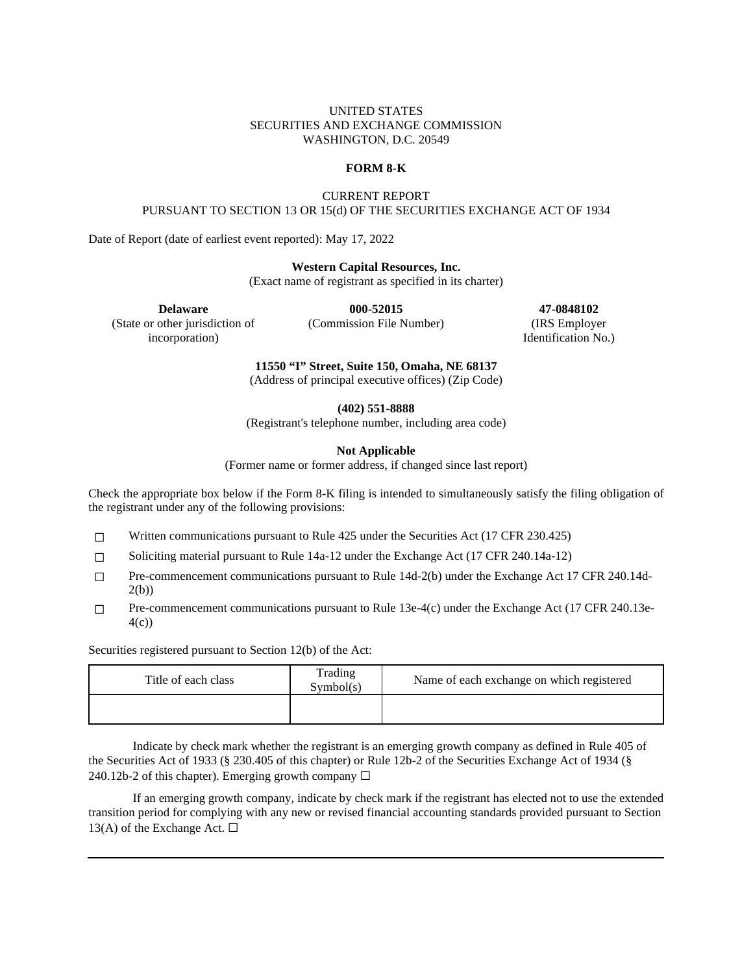# UNITED STATES SECURITIES AND EXCHANGE COMMISSION WASHINGTON, D.C. 20549

## **FORM 8-K**

# CURRENT REPORT PURSUANT TO SECTION 13 OR 15(d) OF THE SECURITIES EXCHANGE ACT OF 1934

Date of Report (date of earliest event reported): May 17, 2022

### **Western Capital Resources, Inc.**

(Exact name of registrant as specified in its charter)

(State or other jurisdiction of incorporation)

(Commission File Number) (IRS Employer

**Delaware 000-52015 47-0848102** Identification No.)

**11550 "I" Street, Suite 150, Omaha, NE 68137**

(Address of principal executive offices) (Zip Code)

**(402) 551-8888**

(Registrant's telephone number, including area code)

# **Not Applicable**

(Former name or former address, if changed since last report)

Check the appropriate box below if the Form 8-K filing is intended to simultaneously satisfy the filing obligation of the registrant under any of the following provisions:

 $\Box$  Written communications pursuant to Rule 425 under the Securities Act (17 CFR 230.425)

- ☐ Soliciting material pursuant to Rule 14a-12 under the Exchange Act (17 CFR 240.14a-12)
- $\Box$  Pre-commencement communications pursuant to Rule 14d-2(b) under the Exchange Act 17 CFR 240.14d-2(b))
- $\Box$  Pre-commencement communications pursuant to Rule 13e-4(c) under the Exchange Act (17 CFR 240.13e-4(c))

Securities registered pursuant to Section 12(b) of the Act:

| Title of each class | Trading<br>Symbol(s) | Name of each exchange on which registered |
|---------------------|----------------------|-------------------------------------------|
|                     |                      |                                           |

Indicate by check mark whether the registrant is an emerging growth company as defined in Rule 405 of the Securities Act of 1933 (§ 230.405 of this chapter) or Rule 12b-2 of the Securities Exchange Act of 1934 (§ 240.12b-2 of this chapter). Emerging growth company  $\Box$ 

If an emerging growth company, indicate by check mark if the registrant has elected not to use the extended transition period for complying with any new or revised financial accounting standards provided pursuant to Section 13(A) of the Exchange Act.  $\Box$